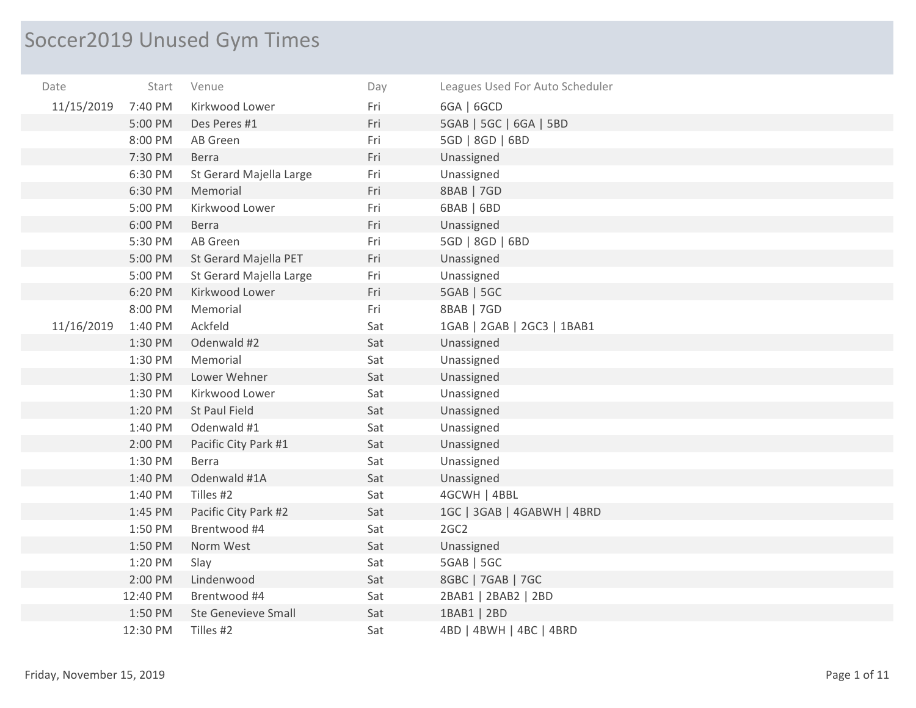## Soccer2019 Unused Gym Times

| Date       | Start    | Venue                      | Day | Leagues Used For Auto Scheduler |
|------------|----------|----------------------------|-----|---------------------------------|
| 11/15/2019 | 7:40 PM  | Kirkwood Lower             | Fri | 6GA   6GCD                      |
|            | 5:00 PM  | Des Peres #1               | Fri | 5GAB   5GC   6GA   5BD          |
|            | 8:00 PM  | AB Green                   | Fri | 5GD   8GD   6BD                 |
|            | 7:30 PM  | <b>Berra</b>               | Fri | Unassigned                      |
|            | 6:30 PM  | St Gerard Majella Large    | Fri | Unassigned                      |
|            | 6:30 PM  | Memorial                   | Fri | 8BAB   7GD                      |
|            | 5:00 PM  | Kirkwood Lower             | Fri | 6BAB   6BD                      |
|            | 6:00 PM  | <b>Berra</b>               | Fri | Unassigned                      |
|            | 5:30 PM  | AB Green                   | Fri | 5GD   8GD   6BD                 |
|            | 5:00 PM  | St Gerard Majella PET      | Fri | Unassigned                      |
|            | 5:00 PM  | St Gerard Majella Large    | Fri | Unassigned                      |
|            | 6:20 PM  | Kirkwood Lower             | Fri | 5GAB   5GC                      |
|            | 8:00 PM  | Memorial                   | Fri | 8BAB   7GD                      |
| 11/16/2019 | 1:40 PM  | Ackfeld                    | Sat | 1GAB   2GAB   2GC3   1BAB1      |
|            | 1:30 PM  | Odenwald #2                | Sat | Unassigned                      |
|            | 1:30 PM  | Memorial                   | Sat | Unassigned                      |
|            | 1:30 PM  | Lower Wehner               | Sat | Unassigned                      |
|            | 1:30 PM  | Kirkwood Lower             | Sat | Unassigned                      |
|            | 1:20 PM  | St Paul Field              | Sat | Unassigned                      |
|            | 1:40 PM  | Odenwald #1                | Sat | Unassigned                      |
|            | 2:00 PM  | Pacific City Park #1       | Sat | Unassigned                      |
|            | 1:30 PM  | Berra                      | Sat | Unassigned                      |
|            | 1:40 PM  | Odenwald #1A               | Sat | Unassigned                      |
|            | 1:40 PM  | Tilles #2                  | Sat | 4GCWH   4BBL                    |
|            | 1:45 PM  | Pacific City Park #2       | Sat | 1GC   3GAB   4GABWH   4BRD      |
|            | 1:50 PM  | Brentwood #4               | Sat | 2GC <sub>2</sub>                |
|            | 1:50 PM  | Norm West                  | Sat | Unassigned                      |
|            | 1:20 PM  | Slay                       | Sat | 5GAB   5GC                      |
|            | 2:00 PM  | Lindenwood                 | Sat | 8GBC   7GAB   7GC               |
|            | 12:40 PM | Brentwood #4               | Sat | 2BAB1   2BAB2   2BD             |
|            | 1:50 PM  | <b>Ste Genevieve Small</b> | Sat | 1BAB1   2BD                     |
|            | 12:30 PM | Tilles #2                  | Sat | 4BD   4BWH   4BC   4BRD         |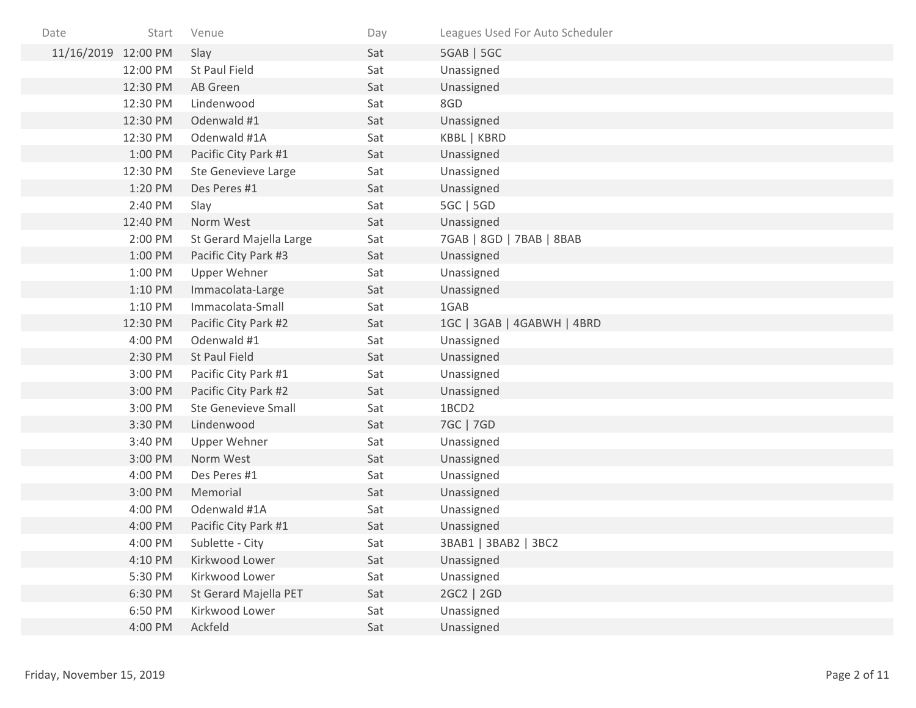| Date                | Start    | Venue                      | Day | Leagues Used For Auto Scheduler |
|---------------------|----------|----------------------------|-----|---------------------------------|
| 11/16/2019 12:00 PM |          | Slay                       | Sat | 5GAB   5GC                      |
|                     | 12:00 PM | St Paul Field              | Sat | Unassigned                      |
|                     | 12:30 PM | AB Green                   | Sat | Unassigned                      |
|                     | 12:30 PM | Lindenwood                 | Sat | 8GD                             |
|                     | 12:30 PM | Odenwald #1                | Sat | Unassigned                      |
|                     | 12:30 PM | Odenwald #1A               | Sat | KBBL   KBRD                     |
|                     | 1:00 PM  | Pacific City Park #1       | Sat | Unassigned                      |
|                     | 12:30 PM | <b>Ste Genevieve Large</b> | Sat | Unassigned                      |
|                     | 1:20 PM  | Des Peres #1               | Sat | Unassigned                      |
|                     | 2:40 PM  | Slay                       | Sat | 5GC   5GD                       |
|                     | 12:40 PM | Norm West                  | Sat | Unassigned                      |
|                     | 2:00 PM  | St Gerard Majella Large    | Sat | 7GAB   8GD   7BAB   8BAB        |
|                     | 1:00 PM  | Pacific City Park #3       | Sat | Unassigned                      |
|                     | 1:00 PM  | <b>Upper Wehner</b>        | Sat | Unassigned                      |
|                     | 1:10 PM  | Immacolata-Large           | Sat | Unassigned                      |
|                     | 1:10 PM  | Immacolata-Small           | Sat | 1GAB                            |
|                     | 12:30 PM | Pacific City Park #2       | Sat | 1GC   3GAB   4GABWH   4BRD      |
|                     | 4:00 PM  | Odenwald #1                | Sat | Unassigned                      |
|                     | 2:30 PM  | St Paul Field              | Sat | Unassigned                      |
|                     | 3:00 PM  | Pacific City Park #1       | Sat | Unassigned                      |
|                     | 3:00 PM  | Pacific City Park #2       | Sat | Unassigned                      |
|                     | 3:00 PM  | <b>Ste Genevieve Small</b> | Sat | 1BCD2                           |
|                     | 3:30 PM  | Lindenwood                 | Sat | 7GC   7GD                       |
|                     | 3:40 PM  | <b>Upper Wehner</b>        | Sat | Unassigned                      |
|                     | 3:00 PM  | Norm West                  | Sat | Unassigned                      |
|                     | 4:00 PM  | Des Peres #1               | Sat | Unassigned                      |
|                     | 3:00 PM  | Memorial                   | Sat | Unassigned                      |
|                     | 4:00 PM  | Odenwald #1A               | Sat | Unassigned                      |
|                     | 4:00 PM  | Pacific City Park #1       | Sat | Unassigned                      |
|                     | 4:00 PM  | Sublette - City            | Sat | 3BAB1   3BAB2   3BC2            |
|                     | 4:10 PM  | Kirkwood Lower             | Sat | Unassigned                      |
|                     | 5:30 PM  | Kirkwood Lower             | Sat | Unassigned                      |
|                     | 6:30 PM  | St Gerard Majella PET      | Sat | 2GC2   2GD                      |
|                     | 6:50 PM  | Kirkwood Lower             | Sat | Unassigned                      |
|                     | 4:00 PM  | Ackfeld                    | Sat | Unassigned                      |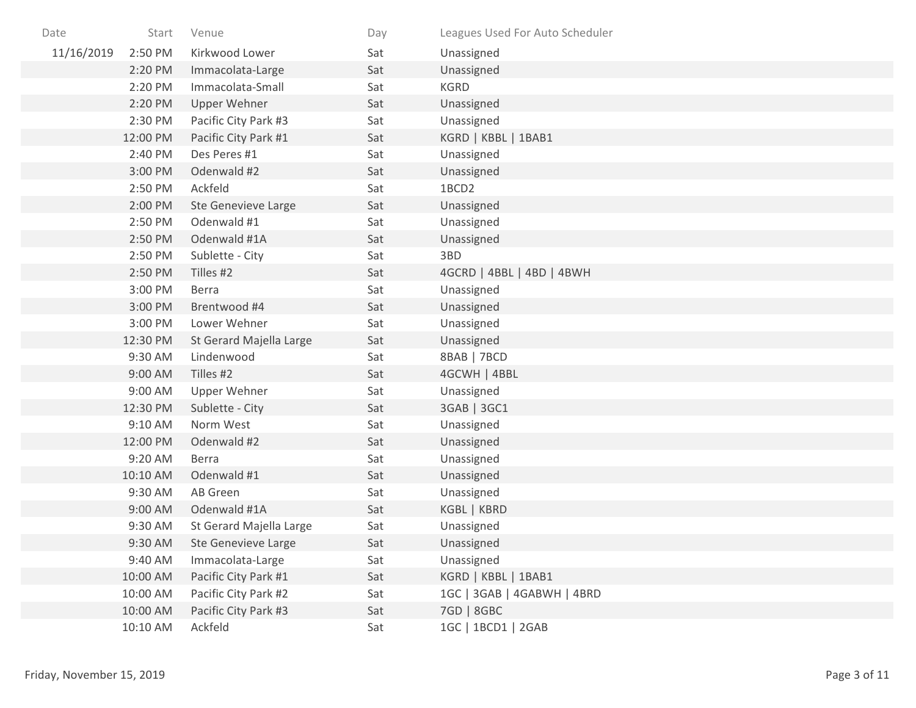| Date       | Start    | Venue                   | Day | Leagues Used For Auto Scheduler |
|------------|----------|-------------------------|-----|---------------------------------|
| 11/16/2019 | 2:50 PM  | Kirkwood Lower          | Sat | Unassigned                      |
|            | 2:20 PM  | Immacolata-Large        | Sat | Unassigned                      |
|            | 2:20 PM  | Immacolata-Small        | Sat | <b>KGRD</b>                     |
|            | 2:20 PM  | <b>Upper Wehner</b>     | Sat | Unassigned                      |
|            | 2:30 PM  | Pacific City Park #3    | Sat | Unassigned                      |
|            | 12:00 PM | Pacific City Park #1    | Sat | KGRD   KBBL   1BAB1             |
|            | 2:40 PM  | Des Peres #1            | Sat | Unassigned                      |
|            | 3:00 PM  | Odenwald #2             | Sat | Unassigned                      |
|            | 2:50 PM  | Ackfeld                 | Sat | 1BCD2                           |
|            | 2:00 PM  | Ste Genevieve Large     | Sat | Unassigned                      |
|            | 2:50 PM  | Odenwald #1             | Sat | Unassigned                      |
|            | 2:50 PM  | Odenwald #1A            | Sat | Unassigned                      |
|            | 2:50 PM  | Sublette - City         | Sat | 3BD                             |
|            | 2:50 PM  | Tilles #2               | Sat | 4GCRD   4BBL   4BD   4BWH       |
|            | 3:00 PM  | Berra                   | Sat | Unassigned                      |
|            | 3:00 PM  | Brentwood #4            | Sat | Unassigned                      |
|            | 3:00 PM  | Lower Wehner            | Sat | Unassigned                      |
|            | 12:30 PM | St Gerard Majella Large | Sat | Unassigned                      |
|            | 9:30 AM  | Lindenwood              | Sat | 8BAB   7BCD                     |
|            | 9:00 AM  | Tilles #2               | Sat | 4GCWH   4BBL                    |
|            | 9:00 AM  | Upper Wehner            | Sat | Unassigned                      |
|            | 12:30 PM | Sublette - City         | Sat | 3GAB   3GC1                     |
|            | 9:10 AM  | Norm West               | Sat | Unassigned                      |
|            | 12:00 PM | Odenwald #2             | Sat | Unassigned                      |
|            | 9:20 AM  | <b>Berra</b>            | Sat | Unassigned                      |
|            | 10:10 AM | Odenwald #1             | Sat | Unassigned                      |
|            | 9:30 AM  | AB Green                | Sat | Unassigned                      |
|            | 9:00 AM  | Odenwald #1A            | Sat | KGBL   KBRD                     |
|            | 9:30 AM  | St Gerard Majella Large | Sat | Unassigned                      |
|            | 9:30 AM  | Ste Genevieve Large     | Sat | Unassigned                      |
|            | 9:40 AM  | Immacolata-Large        | Sat | Unassigned                      |
|            | 10:00 AM | Pacific City Park #1    | Sat | KGRD   KBBL   1BAB1             |
|            | 10:00 AM | Pacific City Park #2    | Sat | 1GC   3GAB   4GABWH   4BRD      |
|            | 10:00 AM | Pacific City Park #3    | Sat | 7GD   8GBC                      |
|            | 10:10 AM | Ackfeld                 | Sat | 1GC   1BCD1   2GAB              |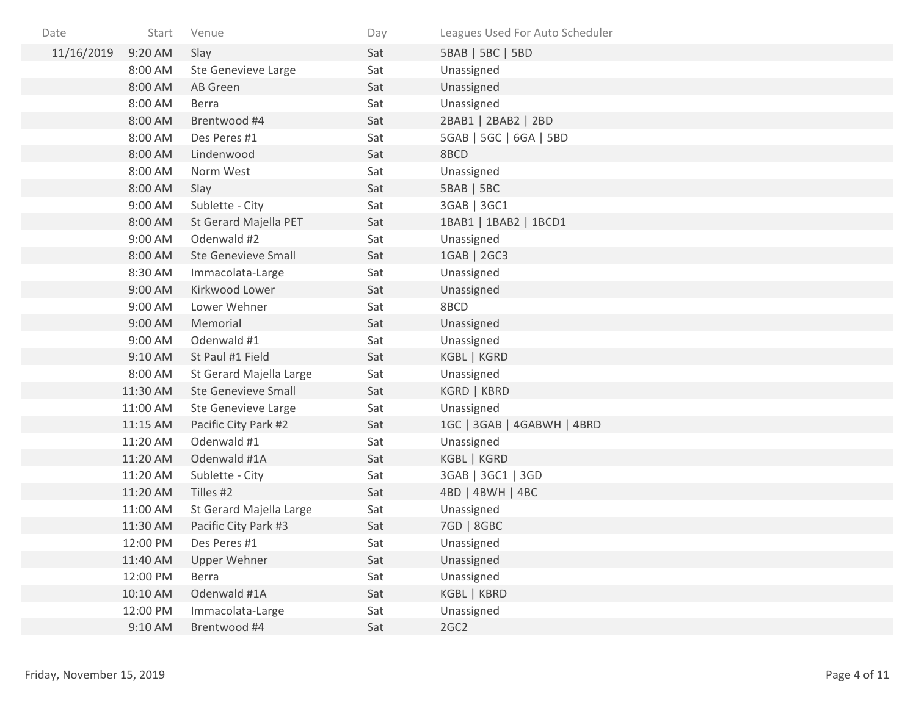| Date       | Start    | Venue                      | Day | Leagues Used For Auto Scheduler |
|------------|----------|----------------------------|-----|---------------------------------|
| 11/16/2019 | 9:20 AM  | Slay                       | Sat | 5BAB   5BC   5BD                |
|            | 8:00 AM  | Ste Genevieve Large        | Sat | Unassigned                      |
|            | 8:00 AM  | AB Green                   | Sat | Unassigned                      |
|            | 8:00 AM  | Berra                      | Sat | Unassigned                      |
|            | 8:00 AM  | Brentwood #4               | Sat | 2BAB1   2BAB2   2BD             |
|            | 8:00 AM  | Des Peres #1               | Sat | 5GAB   5GC   6GA   5BD          |
|            | 8:00 AM  | Lindenwood                 | Sat | 8BCD                            |
|            | 8:00 AM  | Norm West                  | Sat | Unassigned                      |
|            | 8:00 AM  | Slay                       | Sat | 5BAB   5BC                      |
|            | 9:00 AM  | Sublette - City            | Sat | 3GAB   3GC1                     |
|            | 8:00 AM  | St Gerard Majella PET      | Sat | 1BAB1   1BAB2   1BCD1           |
|            | 9:00 AM  | Odenwald #2                | Sat | Unassigned                      |
|            | 8:00 AM  | Ste Genevieve Small        | Sat | 1GAB   2GC3                     |
|            | 8:30 AM  | Immacolata-Large           | Sat | Unassigned                      |
|            | 9:00 AM  | Kirkwood Lower             | Sat | Unassigned                      |
|            | 9:00 AM  | Lower Wehner               | Sat | 8BCD                            |
|            | 9:00 AM  | Memorial                   | Sat | Unassigned                      |
|            | 9:00 AM  | Odenwald #1                | Sat | Unassigned                      |
|            | 9:10 AM  | St Paul #1 Field           | Sat | KGBL   KGRD                     |
|            | 8:00 AM  | St Gerard Majella Large    | Sat | Unassigned                      |
|            | 11:30 AM | <b>Ste Genevieve Small</b> | Sat | KGRD   KBRD                     |
|            | 11:00 AM | Ste Genevieve Large        | Sat | Unassigned                      |
|            | 11:15 AM | Pacific City Park #2       | Sat | 1GC   3GAB   4GABWH   4BRD      |
|            | 11:20 AM | Odenwald #1                | Sat | Unassigned                      |
|            | 11:20 AM | Odenwald #1A               | Sat | KGBL   KGRD                     |
|            | 11:20 AM | Sublette - City            | Sat | 3GAB   3GC1   3GD               |
|            | 11:20 AM | Tilles #2                  | Sat | 4BD   4BWH   4BC                |
|            | 11:00 AM | St Gerard Majella Large    | Sat | Unassigned                      |
|            | 11:30 AM | Pacific City Park #3       | Sat | 7GD   8GBC                      |
|            | 12:00 PM | Des Peres #1               | Sat | Unassigned                      |
|            | 11:40 AM | Upper Wehner               | Sat | Unassigned                      |
|            | 12:00 PM | Berra                      | Sat | Unassigned                      |
|            | 10:10 AM | Odenwald #1A               | Sat | KGBL   KBRD                     |
|            | 12:00 PM | Immacolata-Large           | Sat | Unassigned                      |
|            | 9:10 AM  | Brentwood #4               | Sat | 2GC2                            |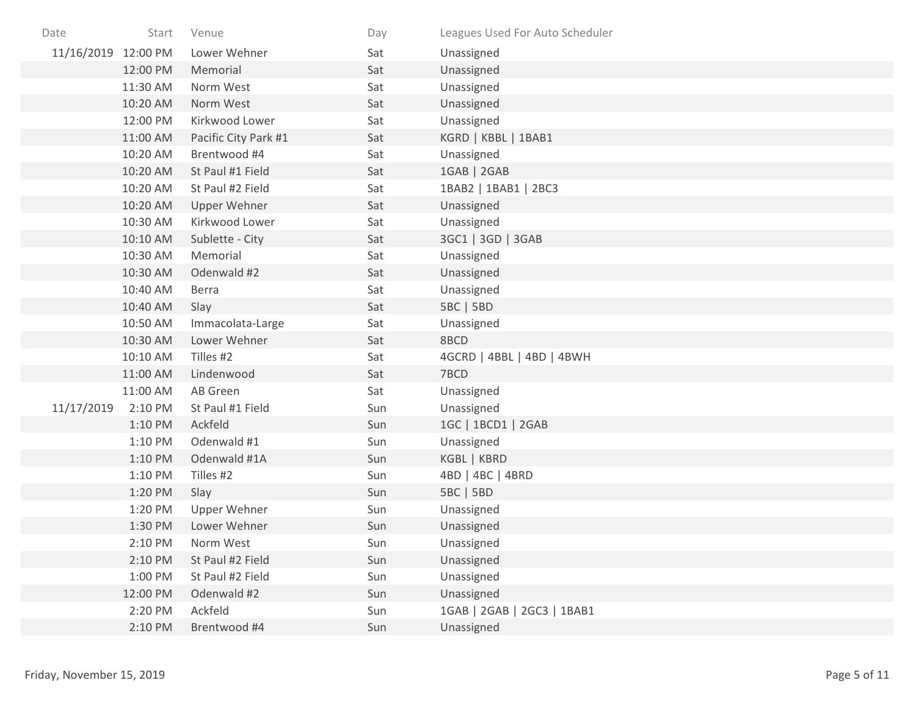| Date                | Start    | Venue                | Day | Leagues Used For Auto Scheduler |
|---------------------|----------|----------------------|-----|---------------------------------|
| 11/16/2019 12:00 PM |          | Lower Wehner         | Sat | Unassigned                      |
|                     | 12:00 PM | Memorial             | Sat | Unassigned                      |
|                     | 11:30 AM | Norm West            | Sat | Unassigned                      |
|                     | 10:20 AM | Norm West            | Sat | Unassigned                      |
|                     | 12:00 PM | Kirkwood Lower       | Sat | Unassigned                      |
|                     | 11:00 AM | Pacific City Park #1 | Sat | KGRD   KBBL   1BAB1             |
|                     | 10:20 AM | Brentwood #4         | Sat | Unassigned                      |
|                     | 10:20 AM | St Paul #1 Field     | Sat | 1GAB   2GAB                     |
|                     | 10:20 AM | St Paul #2 Field     | Sat | 1BAB2   1BAB1   2BC3            |
|                     | 10:20 AM | <b>Upper Wehner</b>  | Sat | Unassigned                      |
|                     | 10:30 AM | Kirkwood Lower       | Sat | Unassigned                      |
|                     | 10:10 AM | Sublette - City      | Sat | 3GC1   3GD   3GAB               |
|                     | 10:30 AM | Memorial             | Sat | Unassigned                      |
|                     | 10:30 AM | Odenwald #2          | Sat | Unassigned                      |
|                     | 10:40 AM | Berra                | Sat | Unassigned                      |
|                     | 10:40 AM | Slay                 | Sat | 5BC   5BD                       |
|                     | 10:50 AM | Immacolata-Large     | Sat | Unassigned                      |
|                     | 10:30 AM | Lower Wehner         | Sat | 8BCD                            |
|                     | 10:10 AM | Tilles #2            | Sat | 4GCRD   4BBL   4BD   4BWH       |
|                     | 11:00 AM | Lindenwood           | Sat | 7BCD                            |
|                     | 11:00 AM | AB Green             | Sat | Unassigned                      |
| 11/17/2019          | 2:10 PM  | St Paul #1 Field     | Sun | Unassigned                      |
|                     | 1:10 PM  | Ackfeld              | Sun | 1GC   1BCD1   2GAB              |
|                     | 1:10 PM  | Odenwald #1          | Sun | Unassigned                      |
|                     | 1:10 PM  | Odenwald #1A         | Sun | KGBL   KBRD                     |
|                     | 1:10 PM  | Tilles #2            | Sun | 4BD   4BC   4BRD                |
|                     | 1:20 PM  | Slay                 | Sun | 5BC   5BD                       |
|                     | 1:20 PM  | Upper Wehner         | Sun | Unassigned                      |
|                     | 1:30 PM  | Lower Wehner         | Sun | Unassigned                      |
|                     | 2:10 PM  | Norm West            | Sun | Unassigned                      |
|                     | 2:10 PM  | St Paul #2 Field     | Sun | Unassigned                      |
|                     | 1:00 PM  | St Paul #2 Field     | Sun | Unassigned                      |
|                     | 12:00 PM | Odenwald #2          | Sun | Unassigned                      |
|                     | 2:20 PM  | Ackfeld              | Sun | 1GAB   2GAB   2GC3   1BAB1      |
|                     | 2:10 PM  | Brentwood #4         | Sun | Unassigned                      |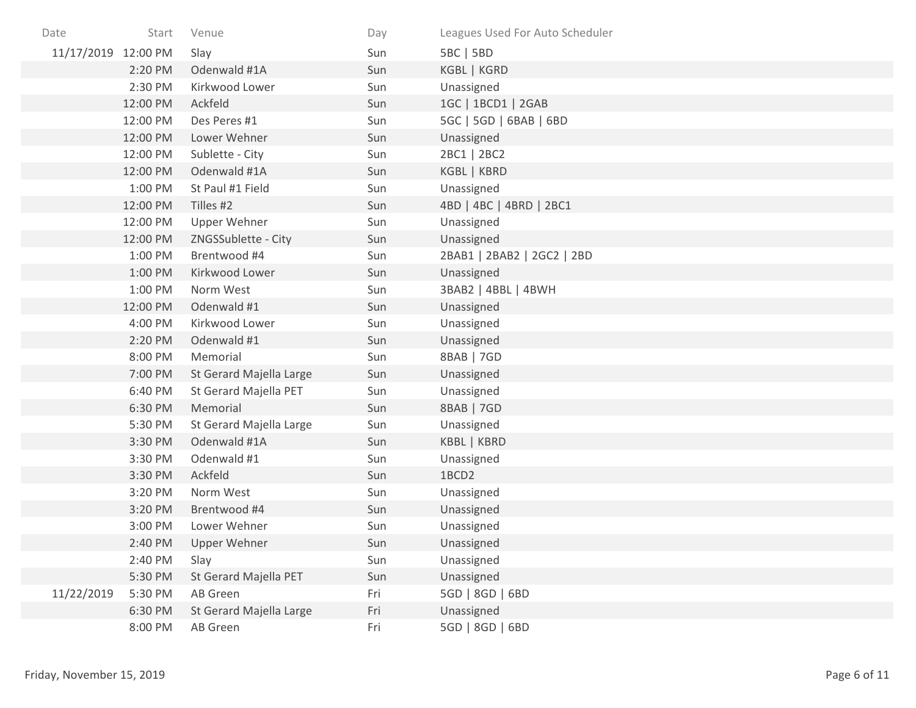| Date                | Start    | Venue                   | Day | Leagues Used For Auto Scheduler |
|---------------------|----------|-------------------------|-----|---------------------------------|
| 11/17/2019 12:00 PM |          | Slay                    | Sun | 5BC   5BD                       |
|                     | 2:20 PM  | Odenwald #1A            | Sun | KGBL   KGRD                     |
|                     | 2:30 PM  | Kirkwood Lower          | Sun | Unassigned                      |
|                     | 12:00 PM | Ackfeld                 | Sun | 1GC   1BCD1   2GAB              |
|                     | 12:00 PM | Des Peres #1            | Sun | 5GC   5GD   6BAB   6BD          |
|                     | 12:00 PM | Lower Wehner            | Sun | Unassigned                      |
|                     | 12:00 PM | Sublette - City         | Sun | 2BC1   2BC2                     |
|                     | 12:00 PM | Odenwald #1A            | Sun | KGBL   KBRD                     |
|                     | 1:00 PM  | St Paul #1 Field        | Sun | Unassigned                      |
|                     | 12:00 PM | Tilles #2               | Sun | 4BD   4BC   4BRD   2BC1         |
|                     | 12:00 PM | <b>Upper Wehner</b>     | Sun | Unassigned                      |
|                     | 12:00 PM | ZNGSSublette - City     | Sun | Unassigned                      |
|                     | 1:00 PM  | Brentwood #4            | Sun | 2BAB1   2BAB2   2GC2   2BD      |
|                     | 1:00 PM  | Kirkwood Lower          | Sun | Unassigned                      |
|                     | 1:00 PM  | Norm West               | Sun | 3BAB2   4BBL   4BWH             |
|                     | 12:00 PM | Odenwald #1             | Sun | Unassigned                      |
|                     | 4:00 PM  | Kirkwood Lower          | Sun | Unassigned                      |
|                     | 2:20 PM  | Odenwald #1             | Sun | Unassigned                      |
|                     | 8:00 PM  | Memorial                | Sun | 8BAB   7GD                      |
|                     | 7:00 PM  | St Gerard Majella Large | Sun | Unassigned                      |
|                     | 6:40 PM  | St Gerard Majella PET   | Sun | Unassigned                      |
|                     | 6:30 PM  | Memorial                | Sun | 8BAB   7GD                      |
|                     | 5:30 PM  | St Gerard Majella Large | Sun | Unassigned                      |
|                     | 3:30 PM  | Odenwald #1A            | Sun | KBBL   KBRD                     |
|                     | 3:30 PM  | Odenwald #1             | Sun | Unassigned                      |
|                     | 3:30 PM  | Ackfeld                 | Sun | 1BCD2                           |
|                     | 3:20 PM  | Norm West               | Sun | Unassigned                      |
|                     | 3:20 PM  | Brentwood #4            | Sun | Unassigned                      |
|                     | 3:00 PM  | Lower Wehner            | Sun | Unassigned                      |
|                     | 2:40 PM  | Upper Wehner            | Sun | Unassigned                      |
|                     | 2:40 PM  | Slay                    | Sun | Unassigned                      |
|                     | 5:30 PM  | St Gerard Majella PET   | Sun | Unassigned                      |
| 11/22/2019          | 5:30 PM  | AB Green                | Fri | 5GD   8GD   6BD                 |
|                     | 6:30 PM  | St Gerard Majella Large | Fri | Unassigned                      |
|                     | 8:00 PM  | AB Green                | Fri | 5GD   8GD   6BD                 |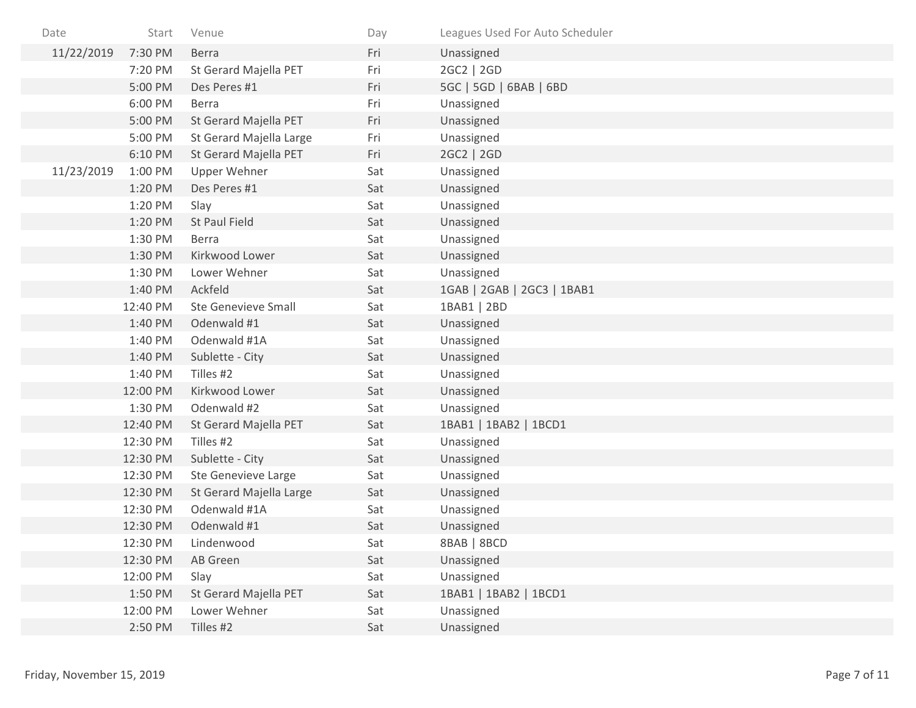| Date       | Start    | Venue                      | Day | Leagues Used For Auto Scheduler |
|------------|----------|----------------------------|-----|---------------------------------|
| 11/22/2019 | 7:30 PM  | Berra                      | Fri | Unassigned                      |
|            | 7:20 PM  | St Gerard Majella PET      | Fri | 2GC2   2GD                      |
|            | 5:00 PM  | Des Peres #1               | Fri | 5GC   5GD   6BAB   6BD          |
|            | 6:00 PM  | <b>Berra</b>               | Fri | Unassigned                      |
|            | 5:00 PM  | St Gerard Majella PET      | Fri | Unassigned                      |
|            | 5:00 PM  | St Gerard Majella Large    | Fri | Unassigned                      |
|            | 6:10 PM  | St Gerard Majella PET      | Fri | 2GC2   2GD                      |
| 11/23/2019 | 1:00 PM  | Upper Wehner               | Sat | Unassigned                      |
|            | 1:20 PM  | Des Peres #1               | Sat | Unassigned                      |
|            | 1:20 PM  | Slay                       | Sat | Unassigned                      |
|            | 1:20 PM  | St Paul Field              | Sat | Unassigned                      |
|            | 1:30 PM  | <b>Berra</b>               | Sat | Unassigned                      |
|            | 1:30 PM  | Kirkwood Lower             | Sat | Unassigned                      |
|            | 1:30 PM  | Lower Wehner               | Sat | Unassigned                      |
|            | 1:40 PM  | Ackfeld                    | Sat | 1GAB   2GAB   2GC3   1BAB1      |
|            | 12:40 PM | <b>Ste Genevieve Small</b> | Sat | 1BAB1   2BD                     |
|            | 1:40 PM  | Odenwald #1                | Sat | Unassigned                      |
|            | 1:40 PM  | Odenwald #1A               | Sat | Unassigned                      |
|            | 1:40 PM  | Sublette - City            | Sat | Unassigned                      |
|            | 1:40 PM  | Tilles #2                  | Sat | Unassigned                      |
|            | 12:00 PM | Kirkwood Lower             | Sat | Unassigned                      |
|            | 1:30 PM  | Odenwald #2                | Sat | Unassigned                      |
|            | 12:40 PM | St Gerard Majella PET      | Sat | 1BAB1   1BAB2   1BCD1           |
|            | 12:30 PM | Tilles #2                  | Sat | Unassigned                      |
|            | 12:30 PM | Sublette - City            | Sat | Unassigned                      |
|            | 12:30 PM | <b>Ste Genevieve Large</b> | Sat | Unassigned                      |
|            | 12:30 PM | St Gerard Majella Large    | Sat | Unassigned                      |
|            | 12:30 PM | Odenwald #1A               | Sat | Unassigned                      |
|            | 12:30 PM | Odenwald #1                | Sat | Unassigned                      |
|            | 12:30 PM | Lindenwood                 | Sat | 8BAB   8BCD                     |
|            | 12:30 PM | AB Green                   | Sat | Unassigned                      |
|            | 12:00 PM | Slay                       | Sat | Unassigned                      |
|            | 1:50 PM  | St Gerard Majella PET      | Sat | 1BAB1   1BAB2   1BCD1           |
|            | 12:00 PM | Lower Wehner               | Sat | Unassigned                      |
|            | 2:50 PM  | Tilles #2                  | Sat | Unassigned                      |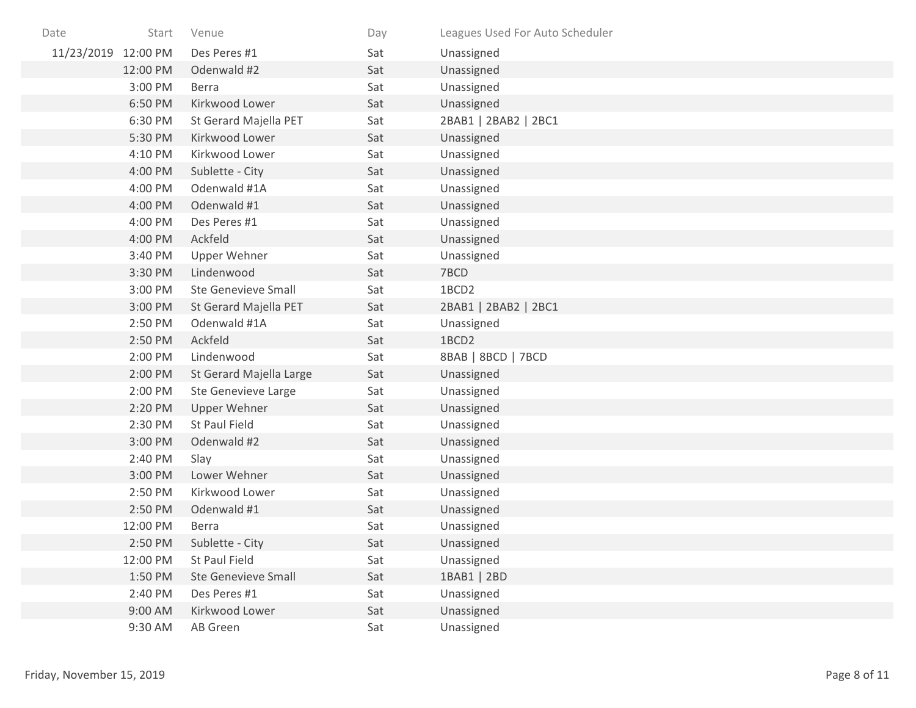| Date                | Start    | Venue                      | Day | Leagues Used For Auto Scheduler |
|---------------------|----------|----------------------------|-----|---------------------------------|
| 11/23/2019 12:00 PM |          | Des Peres #1               | Sat | Unassigned                      |
|                     | 12:00 PM | Odenwald #2                | Sat | Unassigned                      |
|                     | 3:00 PM  | Berra                      | Sat | Unassigned                      |
|                     | 6:50 PM  | Kirkwood Lower             | Sat | Unassigned                      |
|                     | 6:30 PM  | St Gerard Majella PET      | Sat | 2BAB1   2BAB2   2BC1            |
|                     | 5:30 PM  | Kirkwood Lower             | Sat | Unassigned                      |
|                     | 4:10 PM  | Kirkwood Lower             | Sat | Unassigned                      |
|                     | 4:00 PM  | Sublette - City            | Sat | Unassigned                      |
|                     | 4:00 PM  | Odenwald #1A               | Sat | Unassigned                      |
|                     | 4:00 PM  | Odenwald #1                | Sat | Unassigned                      |
|                     | 4:00 PM  | Des Peres #1               | Sat | Unassigned                      |
|                     | 4:00 PM  | Ackfeld                    | Sat | Unassigned                      |
|                     | 3:40 PM  | Upper Wehner               | Sat | Unassigned                      |
|                     | 3:30 PM  | Lindenwood                 | Sat | 7BCD                            |
|                     | 3:00 PM  | <b>Ste Genevieve Small</b> | Sat | 1BCD2                           |
|                     | 3:00 PM  | St Gerard Majella PET      | Sat | 2BAB1   2BAB2   2BC1            |
|                     | 2:50 PM  | Odenwald #1A               | Sat | Unassigned                      |
|                     | 2:50 PM  | Ackfeld                    | Sat | 1BCD2                           |
|                     | 2:00 PM  | Lindenwood                 | Sat | 8BAB   8BCD   7BCD              |
|                     | 2:00 PM  | St Gerard Majella Large    | Sat | Unassigned                      |
|                     | 2:00 PM  | Ste Genevieve Large        | Sat | Unassigned                      |
|                     | 2:20 PM  | <b>Upper Wehner</b>        | Sat | Unassigned                      |
|                     | 2:30 PM  | St Paul Field              | Sat | Unassigned                      |
|                     | 3:00 PM  | Odenwald #2                | Sat | Unassigned                      |
|                     | 2:40 PM  | Slay                       | Sat | Unassigned                      |
|                     | 3:00 PM  | Lower Wehner               | Sat | Unassigned                      |
|                     | 2:50 PM  | Kirkwood Lower             | Sat | Unassigned                      |
|                     | 2:50 PM  | Odenwald #1                | Sat | Unassigned                      |
|                     | 12:00 PM | <b>Berra</b>               | Sat | Unassigned                      |
|                     | 2:50 PM  | Sublette - City            | Sat | Unassigned                      |
|                     | 12:00 PM | St Paul Field              | Sat | Unassigned                      |
|                     | 1:50 PM  | <b>Ste Genevieve Small</b> | Sat | 1BAB1   2BD                     |
|                     | 2:40 PM  | Des Peres #1               | Sat | Unassigned                      |
|                     | 9:00 AM  | Kirkwood Lower             | Sat | Unassigned                      |
|                     | 9:30 AM  | AB Green                   | Sat | Unassigned                      |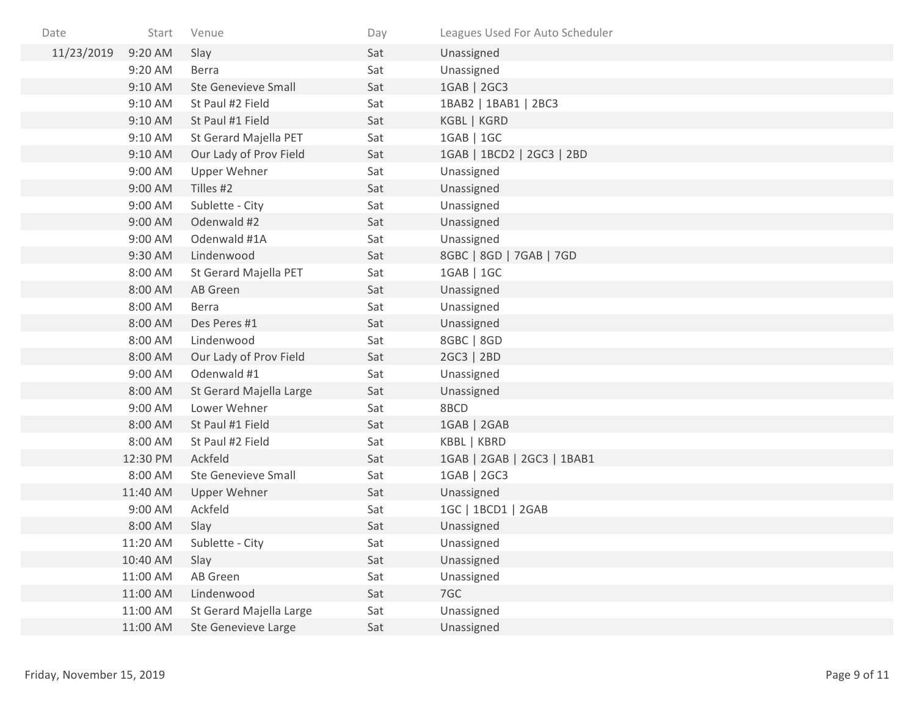| Date       | Start    | Venue                      | Day | Leagues Used For Auto Scheduler |
|------------|----------|----------------------------|-----|---------------------------------|
| 11/23/2019 | 9:20 AM  | Slay                       | Sat | Unassigned                      |
|            | 9:20 AM  | <b>Berra</b>               | Sat | Unassigned                      |
|            | 9:10 AM  | <b>Ste Genevieve Small</b> | Sat | 1GAB   2GC3                     |
|            | 9:10 AM  | St Paul #2 Field           | Sat | 1BAB2   1BAB1   2BC3            |
|            | 9:10 AM  | St Paul #1 Field           | Sat | KGBL   KGRD                     |
|            | 9:10 AM  | St Gerard Majella PET      | Sat | 1GAB   1GC                      |
|            | 9:10 AM  | Our Lady of Prov Field     | Sat | 1GAB   1BCD2   2GC3   2BD       |
|            | 9:00 AM  | Upper Wehner               | Sat | Unassigned                      |
|            | 9:00 AM  | Tilles #2                  | Sat | Unassigned                      |
|            | 9:00 AM  | Sublette - City            | Sat | Unassigned                      |
|            | 9:00 AM  | Odenwald #2                | Sat | Unassigned                      |
|            | 9:00 AM  | Odenwald #1A               | Sat | Unassigned                      |
|            | 9:30 AM  | Lindenwood                 | Sat | 8GBC   8GD   7GAB   7GD         |
|            | 8:00 AM  | St Gerard Majella PET      | Sat | 1GAB   1GC                      |
|            | 8:00 AM  | AB Green                   | Sat | Unassigned                      |
|            | 8:00 AM  | <b>Berra</b>               | Sat | Unassigned                      |
|            | 8:00 AM  | Des Peres #1               | Sat | Unassigned                      |
|            | 8:00 AM  | Lindenwood                 | Sat | 8GBC   8GD                      |
|            | 8:00 AM  | Our Lady of Prov Field     | Sat | 2GC3   2BD                      |
|            | 9:00 AM  | Odenwald #1                | Sat | Unassigned                      |
|            | 8:00 AM  | St Gerard Majella Large    | Sat | Unassigned                      |
|            | 9:00 AM  | Lower Wehner               | Sat | 8BCD                            |
|            | 8:00 AM  | St Paul #1 Field           | Sat | 1GAB   2GAB                     |
|            | 8:00 AM  | St Paul #2 Field           | Sat | KBBL   KBRD                     |
|            | 12:30 PM | Ackfeld                    | Sat | 1GAB   2GAB   2GC3   1BAB1      |
|            | 8:00 AM  | <b>Ste Genevieve Small</b> | Sat | 1GAB   2GC3                     |
|            | 11:40 AM | Upper Wehner               | Sat | Unassigned                      |
|            | 9:00 AM  | Ackfeld                    | Sat | 1GC   1BCD1   2GAB              |
|            | 8:00 AM  | Slay                       | Sat | Unassigned                      |
|            | 11:20 AM | Sublette - City            | Sat | Unassigned                      |
|            | 10:40 AM | Slay                       | Sat | Unassigned                      |
|            | 11:00 AM | AB Green                   | Sat | Unassigned                      |
|            | 11:00 AM | Lindenwood                 | Sat | 7GC                             |
|            | 11:00 AM | St Gerard Majella Large    | Sat | Unassigned                      |
|            | 11:00 AM | <b>Ste Genevieve Large</b> | Sat | Unassigned                      |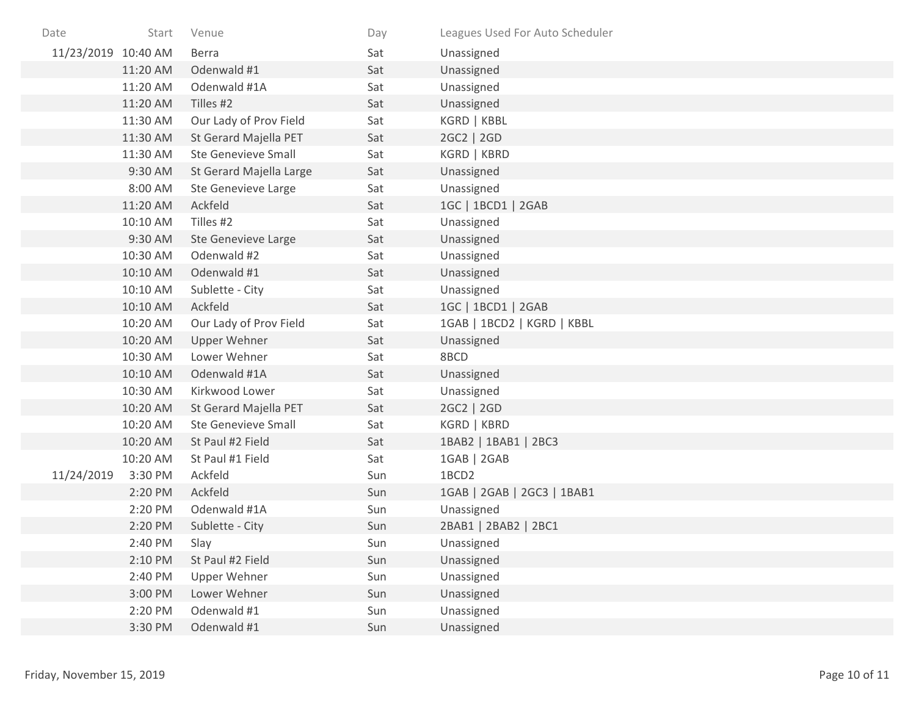| Date                | Start    | Venue                      | Day | Leagues Used For Auto Scheduler |
|---------------------|----------|----------------------------|-----|---------------------------------|
| 11/23/2019 10:40 AM |          | <b>Berra</b>               | Sat | Unassigned                      |
|                     | 11:20 AM | Odenwald #1                | Sat | Unassigned                      |
|                     | 11:20 AM | Odenwald #1A               | Sat | Unassigned                      |
|                     | 11:20 AM | Tilles #2                  | Sat | Unassigned                      |
|                     | 11:30 AM | Our Lady of Prov Field     | Sat | KGRD   KBBL                     |
|                     | 11:30 AM | St Gerard Majella PET      | Sat | 2GC2   2GD                      |
|                     | 11:30 AM | <b>Ste Genevieve Small</b> | Sat | KGRD   KBRD                     |
|                     | 9:30 AM  | St Gerard Majella Large    | Sat | Unassigned                      |
|                     | 8:00 AM  | Ste Genevieve Large        | Sat | Unassigned                      |
|                     | 11:20 AM | Ackfeld                    | Sat | 1GC   1BCD1   2GAB              |
|                     | 10:10 AM | Tilles #2                  | Sat | Unassigned                      |
|                     | 9:30 AM  | Ste Genevieve Large        | Sat | Unassigned                      |
|                     | 10:30 AM | Odenwald #2                | Sat | Unassigned                      |
|                     | 10:10 AM | Odenwald #1                | Sat | Unassigned                      |
|                     | 10:10 AM | Sublette - City            | Sat | Unassigned                      |
|                     | 10:10 AM | Ackfeld                    | Sat | 1GC   1BCD1   2GAB              |
|                     | 10:20 AM | Our Lady of Prov Field     | Sat | 1GAB   1BCD2   KGRD   KBBL      |
|                     | 10:20 AM | Upper Wehner               | Sat | Unassigned                      |
|                     | 10:30 AM | Lower Wehner               | Sat | 8BCD                            |
|                     | 10:10 AM | Odenwald #1A               | Sat | Unassigned                      |
|                     | 10:30 AM | Kirkwood Lower             | Sat | Unassigned                      |
|                     | 10:20 AM | St Gerard Majella PET      | Sat | 2GC2   2GD                      |
|                     | 10:20 AM | <b>Ste Genevieve Small</b> | Sat | KGRD   KBRD                     |
|                     | 10:20 AM | St Paul #2 Field           | Sat | 1BAB2   1BAB1   2BC3            |
|                     | 10:20 AM | St Paul #1 Field           | Sat | 1GAB   2GAB                     |
| 11/24/2019          | 3:30 PM  | Ackfeld                    | Sun | 1BCD2                           |
|                     | 2:20 PM  | Ackfeld                    | Sun | 1GAB   2GAB   2GC3   1BAB1      |
|                     | 2:20 PM  | Odenwald #1A               | Sun | Unassigned                      |
|                     | 2:20 PM  | Sublette - City            | Sun | 2BAB1   2BAB2   2BC1            |
|                     | 2:40 PM  | Slay                       | Sun | Unassigned                      |
|                     | 2:10 PM  | St Paul #2 Field           | Sun | Unassigned                      |
|                     | 2:40 PM  | Upper Wehner               | Sun | Unassigned                      |
|                     | 3:00 PM  | Lower Wehner               | Sun | Unassigned                      |
|                     | 2:20 PM  | Odenwald #1                | Sun | Unassigned                      |
|                     | 3:30 PM  | Odenwald #1                | Sun | Unassigned                      |